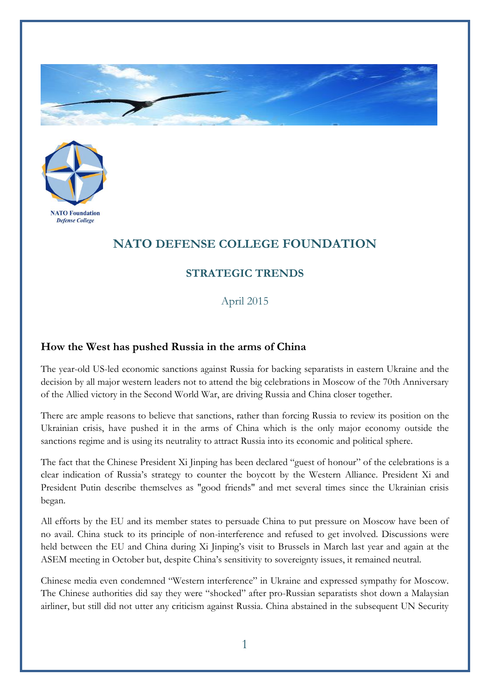



## **NATO DEFENSE COLLEGE FOUNDATION**

## **STRATEGIC TRENDS**

April 2015

## **How the West has pushed Russia in the arms of China**

The year-old US-led economic sanctions against Russia for backing separatists in eastern Ukraine and the decision by all major western leaders not to attend the big celebrations in Moscow of the 70th Anniversary of the Allied victory in the Second World War, are driving Russia and China closer together.

There are ample reasons to believe that sanctions, rather than forcing Russia to review its position on the Ukrainian crisis, have pushed it in the arms of China which is the only major economy outside the sanctions regime and is using its neutrality to attract Russia into its economic and political sphere.

The fact that the Chinese President Xi Jinping has been declared "guest of honour" of the celebrations is a clear indication of Russia's strategy to counter the boycott by the Western Alliance. President Xi and President Putin describe themselves as "good friends" and met several times since the Ukrainian crisis began.

All efforts by the EU and its member states to persuade China to put pressure on Moscow have been of no avail. China stuck to its principle of non-interference and refused to get involved. Discussions were held between the EU and China during Xi Jinping's visit to Brussels in March last year and again at the ASEM meeting in October but, despite China's sensitivity to sovereignty issues, it remained neutral.

Chinese media even condemned "Western interference" in Ukraine and expressed sympathy for Moscow. The Chinese authorities did say they were "shocked" after pro-Russian separatists shot down a Malaysian airliner, but still did not utter any criticism against Russia. China abstained in the subsequent UN Security